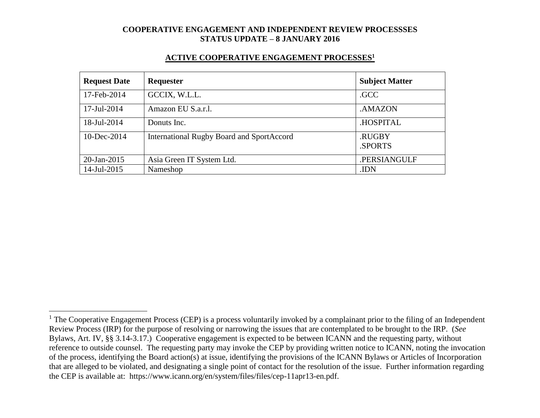#### **ACTIVE COOPERATIVE ENGAGEMENT PROCESSES<sup>1</sup>**

| <b>Request Date</b> | <b>Requester</b>                                 | <b>Subject Matter</b> |
|---------------------|--------------------------------------------------|-----------------------|
| 17-Feb-2014         | GCCIX, W.L.L.                                    | .GCC                  |
| 17-Jul-2014         | Amazon EU S.a.r.l.                               | .AMAZON               |
| 18-Jul-2014         | Donuts Inc.                                      | .HOSPITAL             |
| $10$ -Dec-2014      | <b>International Rugby Board and SportAccord</b> | .RUGBY<br>.SPORTS     |
| 20-Jan-2015         | Asia Green IT System Ltd.                        | .PERSIANGULF          |
| 14-Jul-2015         | Nameshop                                         | .IDN                  |

 $\overline{a}$ 

 $1$  The Cooperative Engagement Process (CEP) is a process voluntarily invoked by a complainant prior to the filing of an Independent Review Process (IRP) for the purpose of resolving or narrowing the issues that are contemplated to be brought to the IRP. (*See* Bylaws, Art. IV, §§ 3.14-3.17.) Cooperative engagement is expected to be between ICANN and the requesting party, without reference to outside counsel. The requesting party may invoke the CEP by providing written notice to ICANN, noting the invocation of the process, identifying the Board action(s) at issue, identifying the provisions of the ICANN Bylaws or Articles of Incorporation that are alleged to be violated, and designating a single point of contact for the resolution of the issue. Further information regarding the CEP is available at: https://www.icann.org/en/system/files/files/cep-11apr13-en.pdf.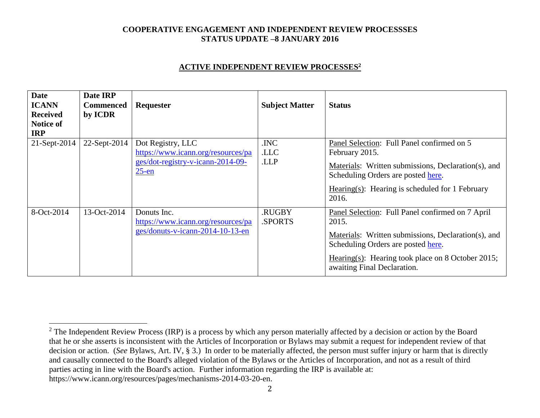#### **ACTIVE INDEPENDENT REVIEW PROCESSES<sup>2</sup>**

| <b>Date</b><br><b>ICANN</b><br><b>Received</b><br><b>Notice of</b><br><b>IRP</b> | Date IRP<br><b>Commenced</b><br>by ICDR | <b>Requester</b>                                                                                         | <b>Subject Matter</b> | <b>Status</b>                                                                                                                                                                                                                              |
|----------------------------------------------------------------------------------|-----------------------------------------|----------------------------------------------------------------------------------------------------------|-----------------------|--------------------------------------------------------------------------------------------------------------------------------------------------------------------------------------------------------------------------------------------|
| $21$ -Sept-2014                                                                  | 22-Sept-2014                            | Dot Registry, LLC<br>https://www.icann.org/resources/pa<br>ges/dot-registry-v-icann-2014-09-<br>$25$ -en | .INC<br>.LLC<br>.LLP  | Panel Selection: Full Panel confirmed on 5<br>February 2015.<br>Materials: Written submissions, Declaration(s), and<br>Scheduling Orders are posted here.<br>Hearing(s): Hearing is scheduled for 1 February<br>2016.                      |
| 8-Oct-2014                                                                       | 13-Oct-2014                             | Donuts Inc.<br>https://www.icann.org/resources/pa<br>ges/donuts-v-icann-2014-10-13-en                    | .RUGBY<br>.SPORTS     | Panel Selection: Full Panel confirmed on 7 April<br>2015.<br>Materials: Written submissions, Declaration(s), and<br>Scheduling Orders are posted here.<br>Hearing(s): Hearing took place on 8 October 2015;<br>awaiting Final Declaration. |

 $\overline{a}$ 

<sup>&</sup>lt;sup>2</sup> The Independent Review Process (IRP) is a process by which any person materially affected by a decision or action by the Board that he or she asserts is inconsistent with the Articles of Incorporation or Bylaws may submit a request for independent review of that decision or action. (*See* Bylaws, Art. IV, § 3.) In order to be materially affected, the person must suffer injury or harm that is directly and causally connected to the Board's alleged violation of the Bylaws or the Articles of Incorporation, and not as a result of third parties acting in line with the Board's action. Further information regarding the IRP is available at: https://www.icann.org/resources/pages/mechanisms-2014-03-20-en.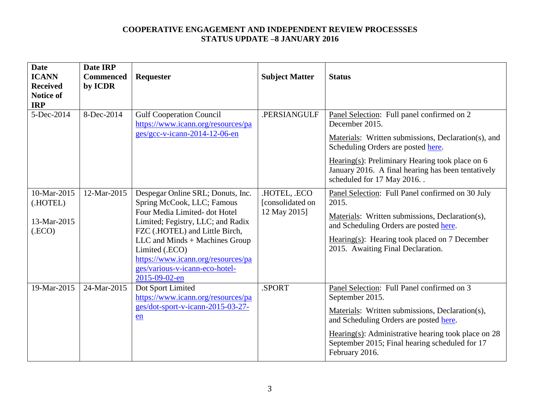| <b>Date</b><br><b>ICANN</b><br><b>Received</b><br><b>Notice of</b><br><b>IRP</b> | Date IRP<br><b>Commenced</b><br>by ICDR | Requester                                                                                                                                                                                                                                                                                                           | <b>Subject Matter</b>                            | <b>Status</b>                                                                                                                                                                                                                                                                                        |
|----------------------------------------------------------------------------------|-----------------------------------------|---------------------------------------------------------------------------------------------------------------------------------------------------------------------------------------------------------------------------------------------------------------------------------------------------------------------|--------------------------------------------------|------------------------------------------------------------------------------------------------------------------------------------------------------------------------------------------------------------------------------------------------------------------------------------------------------|
| 5-Dec-2014                                                                       | 8-Dec-2014                              | <b>Gulf Cooperation Council</b><br>https://www.icann.org/resources/pa<br>ges/gcc-v-icann-2014-12-06-en                                                                                                                                                                                                              | .PERSIANGULF                                     | Panel Selection: Full panel confirmed on 2<br>December 2015.<br>Materials: Written submissions, Declaration(s), and<br>Scheduling Orders are posted here.<br>Hearing(s): Preliminary Hearing took place on $6$<br>January 2016. A final hearing has been tentatively<br>scheduled for 17 May 2016. . |
| 10-Mar-2015<br>(.HOTEL)<br>13-Mar-2015<br>(.ECO)                                 | 12-Mar-2015                             | Despegar Online SRL; Donuts, Inc.<br>Spring McCook, LLC; Famous<br>Four Media Limited-dot Hotel<br>Limited; Fegistry, LLC; and Radix<br>FZC (.HOTEL) and Little Birch,<br>LLC and Minds + Machines Group<br>Limited (.ECO)<br>https://www.icann.org/resources/pa<br>ges/various-v-icann-eco-hotel-<br>2015-09-02-en | .HOTEL, .ECO<br>[consolidated on<br>12 May 2015] | Panel Selection: Full Panel confirmed on 30 July<br>2015.<br>Materials: Written submissions, Declaration(s),<br>and Scheduling Orders are posted here.<br>Hearing(s): Hearing took placed on $7$ December<br>2015. Awaiting Final Declaration.                                                       |
| 19-Mar-2015                                                                      | 24-Mar-2015                             | Dot Sport Limited<br>https://www.icann.org/resources/pa<br>ges/dot-sport-v-icann-2015-03-27-<br>en                                                                                                                                                                                                                  | .SPORT                                           | Panel Selection: Full Panel confirmed on 3<br>September 2015.<br>Materials: Written submissions, Declaration(s),<br>and Scheduling Orders are posted here.<br>Hearing(s): Administrative hearing took place on $28$<br>September 2015; Final hearing scheduled for 17<br>February 2016.              |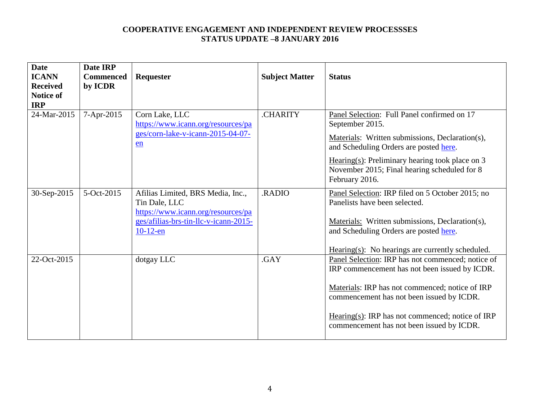| <b>Date</b><br><b>ICANN</b><br><b>Received</b><br><b>Notice of</b><br><b>IRP</b> | Date IRP<br><b>Commenced</b><br>by ICDR | Requester                                                                                                                                        | <b>Subject Matter</b> | <b>Status</b>                                                                                                                                                                                                                                                                                         |
|----------------------------------------------------------------------------------|-----------------------------------------|--------------------------------------------------------------------------------------------------------------------------------------------------|-----------------------|-------------------------------------------------------------------------------------------------------------------------------------------------------------------------------------------------------------------------------------------------------------------------------------------------------|
| 24-Mar-2015                                                                      | 7-Apr-2015                              | Corn Lake, LLC<br>https://www.icann.org/resources/pa<br>ges/corn-lake-v-icann-2015-04-07-<br>en                                                  | <b>CHARITY</b>        | Panel Selection: Full Panel confirmed on 17<br>September 2015.<br>Materials: Written submissions, Declaration(s),<br>and Scheduling Orders are posted here.<br>Hearing(s): Preliminary hearing took place on $3$<br>November 2015; Final hearing scheduled for 8<br>February 2016.                    |
| 30-Sep-2015                                                                      | 5-Oct-2015                              | Afilias Limited, BRS Media, Inc.,<br>Tin Dale, LLC<br>https://www.icann.org/resources/pa<br>ges/afilias-brs-tin-llc-v-icann-2015-<br>$10-12$ -en | .RADIO                | Panel Selection: IRP filed on 5 October 2015; no<br>Panelists have been selected.<br>Materials: Written submissions, Declaration(s),<br>and Scheduling Orders are posted here.<br>$Hearing(s): No hearings are currently scheduled.$                                                                  |
| 22-Oct-2015                                                                      |                                         | dotgay LLC                                                                                                                                       | .GAY                  | Panel Selection: IRP has not commenced; notice of<br>IRP commencement has not been issued by ICDR.<br>Materials: IRP has not commenced; notice of IRP<br>commencement has not been issued by ICDR.<br>$Hearing(s): IRP has not commenced; notice of IRP$<br>commencement has not been issued by ICDR. |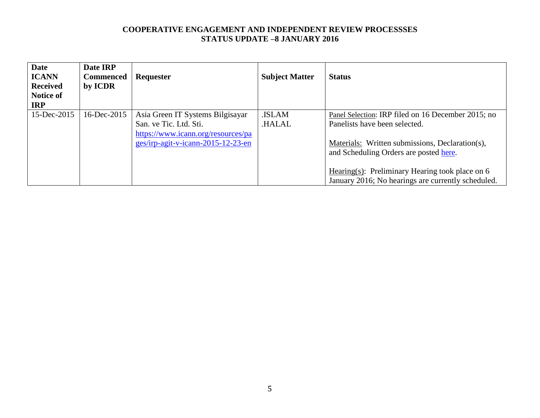| <b>Date</b><br><b>ICANN</b><br><b>Received</b><br>Notice of<br><b>IRP</b> | Date IRP<br><b>Commenced</b><br>by ICDR | Requester                                                                                                                              | <b>Subject Matter</b>  | <b>Status</b>                                                                                                                                                                                                                                                                             |
|---------------------------------------------------------------------------|-----------------------------------------|----------------------------------------------------------------------------------------------------------------------------------------|------------------------|-------------------------------------------------------------------------------------------------------------------------------------------------------------------------------------------------------------------------------------------------------------------------------------------|
| $15$ -Dec-2015                                                            | 16-Dec-2015                             | Asia Green IT Systems Bilgisayar<br>San. ve Tic. Ltd. Sti.<br>https://www.icann.org/resources/pa<br>ges/irp-agit-v-icann-2015-12-23-en | .ISLAM<br><b>HALAL</b> | Panel Selection: IRP filed on 16 December 2015; no<br>Panelists have been selected.<br>Materials: Written submissions, Declaration(s),<br>and Scheduling Orders are posted here.<br>Hearing(s): Preliminary Hearing took place on 6<br>January 2016; No hearings are currently scheduled. |